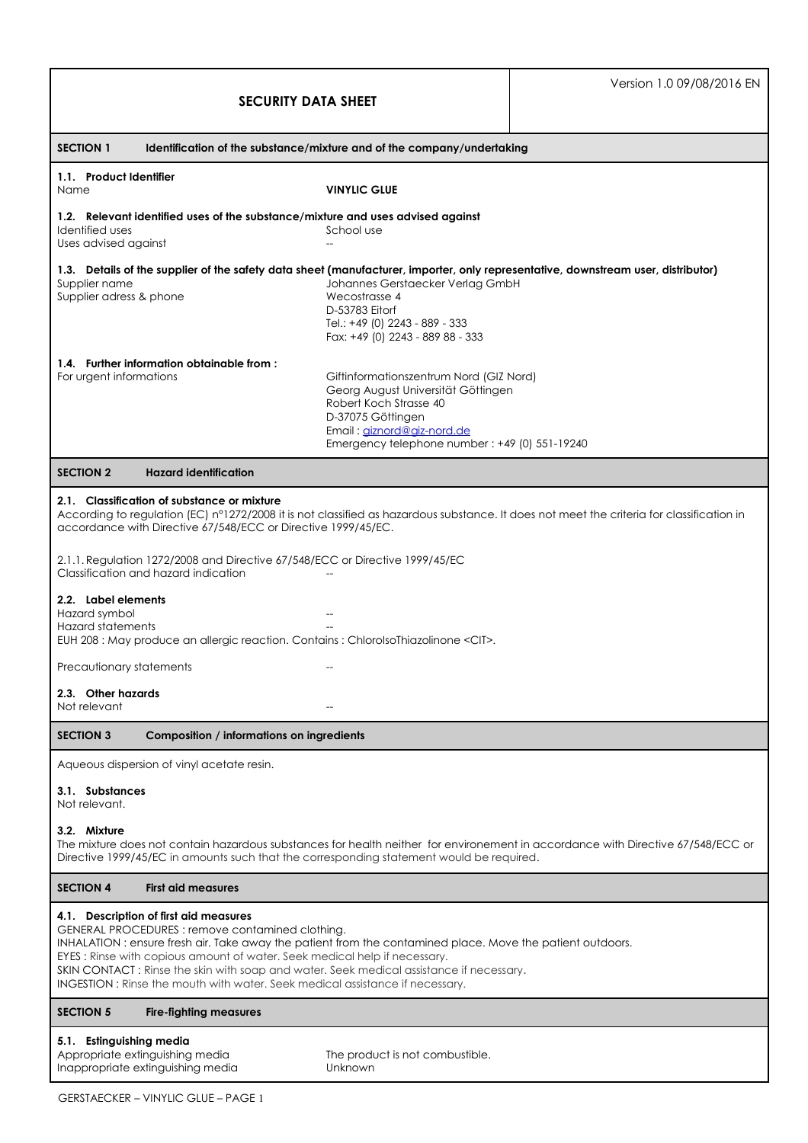| <b>SECURITY DATA SHEET</b>                                                                                                                                                                                                                                                                                                                                                                                                                                     |                                                                                                                                                                                                             | Version 1.0 09/08/2016 EN |  |  |
|----------------------------------------------------------------------------------------------------------------------------------------------------------------------------------------------------------------------------------------------------------------------------------------------------------------------------------------------------------------------------------------------------------------------------------------------------------------|-------------------------------------------------------------------------------------------------------------------------------------------------------------------------------------------------------------|---------------------------|--|--|
| <b>SECTION 1</b><br>Identification of the substance/mixture and of the company/undertaking                                                                                                                                                                                                                                                                                                                                                                     |                                                                                                                                                                                                             |                           |  |  |
| 1.1. Product Identifier<br>Name                                                                                                                                                                                                                                                                                                                                                                                                                                | <b>VINYLIC GLUE</b>                                                                                                                                                                                         |                           |  |  |
| 1.2. Relevant identified uses of the substance/mixture and uses advised against<br>Identified uses<br>School use<br>Uses advised against                                                                                                                                                                                                                                                                                                                       |                                                                                                                                                                                                             |                           |  |  |
| 1.3. Details of the supplier of the safety data sheet (manufacturer, importer, only representative, downstream user, distributor)<br>Supplier name<br>Supplier adress & phone                                                                                                                                                                                                                                                                                  | Johannes Gerstaecker Verlag GmbH<br>Wecostrasse 4<br>D-53783 Eitorf<br>Tel.: +49 (0) 2243 - 889 - 333<br>Fax: +49 (0) 2243 - 889 88 - 333                                                                   |                           |  |  |
| 1.4. Further information obtainable from:<br>For urgent informations                                                                                                                                                                                                                                                                                                                                                                                           | Giftinformationszentrum Nord (GIZ Nord)<br>Georg August Universität Göttingen<br>Robert Koch Strasse 40<br>D-37075 Göttingen<br>Email: giznord@giz-nord.de<br>Emergency telephone number: +49 (0) 551-19240 |                           |  |  |
| <b>Hazard identification</b><br><b>SECTION 2</b>                                                                                                                                                                                                                                                                                                                                                                                                               |                                                                                                                                                                                                             |                           |  |  |
| 2.1. Classification of substance or mixture<br>According to regulation (EC) n°1272/2008 it is not classified as hazardous substance. It does not meet the criteria for classification in<br>accordance with Directive 67/548/ECC or Directive 1999/45/EC.<br>2.1.1. Regulation 1272/2008 and Directive 67/548/ECC or Directive 1999/45/EC                                                                                                                      |                                                                                                                                                                                                             |                           |  |  |
| Classification and hazard indication<br>2.2. Label elements<br>Hazard symbol<br>Hazard statements<br>EUH 208 : May produce an allergic reaction. Contains : ChlorolsoThiazolinone <cit>.</cit>                                                                                                                                                                                                                                                                 |                                                                                                                                                                                                             |                           |  |  |
| Precautionary statements                                                                                                                                                                                                                                                                                                                                                                                                                                       | $-$                                                                                                                                                                                                         |                           |  |  |
| 2.3. Other hazards<br>Not relevant                                                                                                                                                                                                                                                                                                                                                                                                                             |                                                                                                                                                                                                             |                           |  |  |
| <b>SECTION 3</b><br>Composition / informations on ingredients                                                                                                                                                                                                                                                                                                                                                                                                  |                                                                                                                                                                                                             |                           |  |  |
| Aqueous dispersion of vinyl acetate resin.                                                                                                                                                                                                                                                                                                                                                                                                                     |                                                                                                                                                                                                             |                           |  |  |
| 3.1. Substances<br>Not relevant.                                                                                                                                                                                                                                                                                                                                                                                                                               |                                                                                                                                                                                                             |                           |  |  |
| 3.2. Mixture<br>The mixture does not contain hazardous substances for health neither for environement in accordance with Directive 67/548/ECC or<br>Directive 1999/45/EC in amounts such that the corresponding statement would be required.                                                                                                                                                                                                                   |                                                                                                                                                                                                             |                           |  |  |
| <b>SECTION 4</b><br><b>First aid measures</b>                                                                                                                                                                                                                                                                                                                                                                                                                  |                                                                                                                                                                                                             |                           |  |  |
| 4.1. Description of first aid measures<br>GENERAL PROCEDURES: remove contamined clothing.<br>INHALATION: ensure fresh air. Take away the patient from the contamined place. Move the patient outdoors.<br>EYES: Rinse with copious amount of water. Seek medical help if necessary.<br>SKIN CONTACT: Rinse the skin with soap and water. Seek medical assistance if necessary.<br>INGESTION: Rinse the mouth with water. Seek medical assistance if necessary. |                                                                                                                                                                                                             |                           |  |  |
| <b>SECTION 5</b><br><b>Fire-fighting measures</b>                                                                                                                                                                                                                                                                                                                                                                                                              |                                                                                                                                                                                                             |                           |  |  |
| 5.1. Estinguishing media<br>Appropriate extinguishing media<br>Inappropriate extinguishing media                                                                                                                                                                                                                                                                                                                                                               | The product is not combustible.<br>Unknown                                                                                                                                                                  |                           |  |  |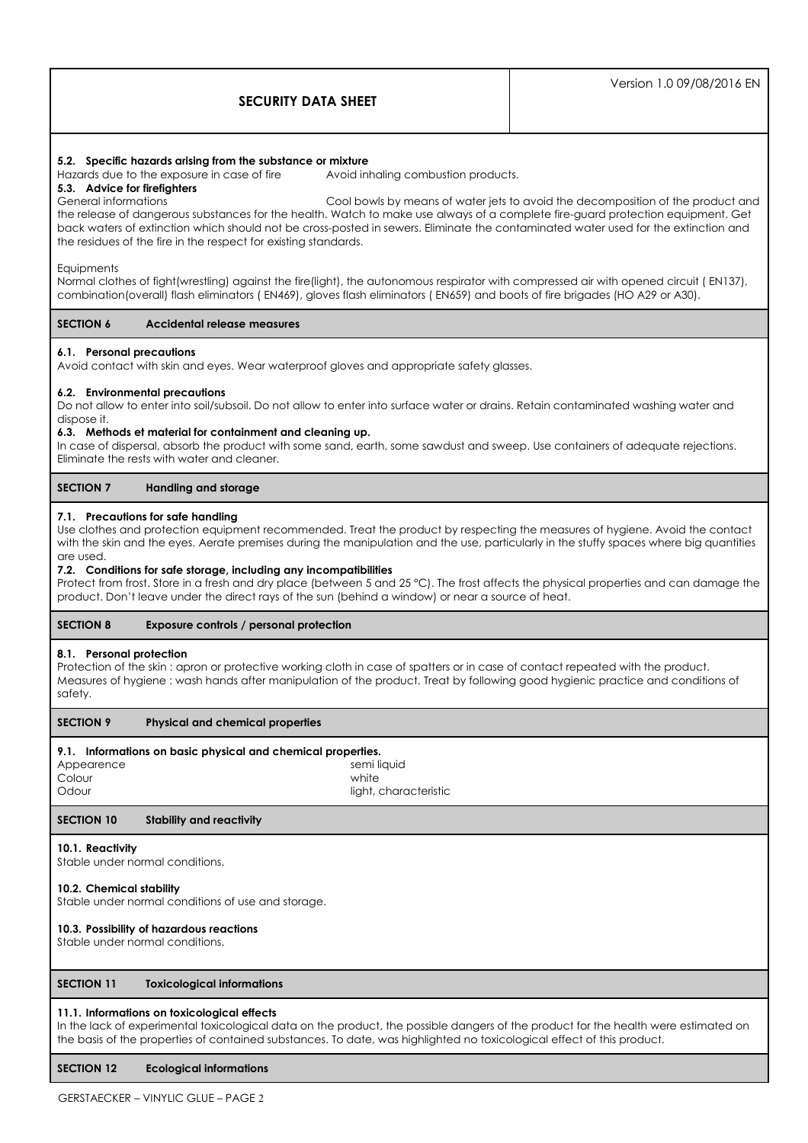|                            | Version 1.0 09/08/2016 EN |
|----------------------------|---------------------------|
| <b>SECURITY DATA SHEET</b> |                           |

# **5.2. Specific hazards arising from the substance or mixture**

Hazards due to the exposure in case of fire Avoid inhaling combustion products.

# **5.3. Advice for firefighters**

General informations Cool bowls by means of water jets to avoid the decomposition of the product and the release of dangerous substances for the health. Watch to make use always of a complete fire-guard protection equipment. Get back waters of extinction which should not be cross-posted in sewers. Eliminate the contaminated water used for the extinction and the residues of the fire in the respect for existing standards.

#### **Equipments**

Normal clothes of fight(wrestling) against the fire(light), the autonomous respirator with compressed air with opened circuit ( EN137), combination(overall) flash eliminators ( EN469), gloves flash eliminators ( EN659) and boots of fire brigades (HO A29 or A30).

#### **SECTION 6 Accidental release measures**

#### **6.1. Personal precautions**

Avoid contact with skin and eyes. Wear waterproof gloves and appropriate safety glasses.

#### **6.2. Environmental precautions**

Do not allow to enter into soil/subsoil. Do not allow to enter into surface water or drains. Retain contaminated washing water and dispose it.

#### **6.3. Methods et material for containment and cleaning up.**

In case of dispersal, absorb the product with some sand, earth, some sawdust and sweep. Use containers of adequate rejections. Eliminate the rests with water and cleaner.

#### **SECTION 7 Handling and storage**

#### **7.1. Precautions for safe handling**

Use clothes and protection equipment recommended. Treat the product by respecting the measures of hygiene. Avoid the contact with the skin and the eyes. Aerate premises during the manipulation and the use, particularly in the stuffy spaces where big quantities are used.

#### **7.2. Conditions for safe storage, including any incompatibilities**

Protect from frost. Store in a fresh and dry place (between 5 and 25 °C). The frost affects the physical properties and can damage the product. Don't leave under the direct rays of the sun (behind a window) or near a source of heat.

# **SECTION 8 Exposure controls / personal protection**

#### **8.1. Personal protection**

Protection of the skin : apron or protective working cloth in case of spatters or in case of contact repeated with the product. Measures of hygiene : wash hands after manipulation of the product. Treat by following good hygienic practice and conditions of safety.

#### **SECTION 9 Physical and chemical properties**

# **9.1. Informations on basic physical and chemical properties.**

| Appearence | semi liquid           |
|------------|-----------------------|
| Colour     | white                 |
| Odour      | light, characteristic |

# **SECTION 10 Stability and reactivity**

#### **10.1. Reactivity**

Stable under normal conditions.

#### **10.2. Chemical stability**

Stable under normal conditions of use and storage.

# **10.3. Possibility of hazardous reactions**

Stable under normal conditions.

#### **SECTION 11 Toxicological informations**

#### **11.1. Informations on toxicological effects**

In the lack of experimental toxicological data on the product, the possible dangers of the product for the health were estimated on the basis of the properties of contained substances. To date, was highlighted no toxicological effect of this product.

#### **SECTION 12 Ecological informations**